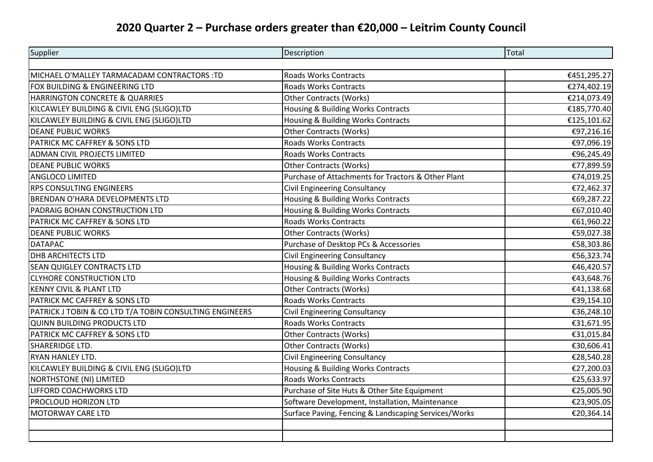## **2020 Quarter 2 – Purchase orders greater than €20,000 – Leitrim County Council**

| Supplier                                                | Description                                          | Total       |
|---------------------------------------------------------|------------------------------------------------------|-------------|
|                                                         |                                                      |             |
| MICHAEL O'MALLEY TARMACADAM CONTRACTORS :TD             | <b>Roads Works Contracts</b>                         | €451,295.27 |
| FOX BUILDING & ENGINEERING LTD                          | <b>Roads Works Contracts</b>                         | €274,402.19 |
| HARRINGTON CONCRETE & QUARRIES                          | <b>Other Contracts (Works)</b>                       | €214,073.49 |
| KILCAWLEY BUILDING & CIVIL ENG (SLIGO)LTD               | Housing & Building Works Contracts                   | €185,770.40 |
| KILCAWLEY BUILDING & CIVIL ENG (SLIGO)LTD               | Housing & Building Works Contracts                   | €125,101.62 |
| <b>DEANE PUBLIC WORKS</b>                               | Other Contracts (Works)                              | €97,216.16  |
| PATRICK MC CAFFREY & SONS LTD                           | <b>Roads Works Contracts</b>                         | €97,096.19  |
| <b>ADMAN CIVIL PROJECTS LIMITED</b>                     | <b>Roads Works Contracts</b>                         | €96,245.49  |
| <b>DEANE PUBLIC WORKS</b>                               | <b>Other Contracts (Works)</b>                       | €77,899.59  |
| <b>ANGLOCO LIMITED</b>                                  | Purchase of Attachments for Tractors & Other Plant   | €74,019.25  |
| <b>RPS CONSULTING ENGINEERS</b>                         | <b>Civil Engineering Consultancy</b>                 | €72,462.37  |
| BRENDAN O'HARA DEVELOPMENTS LTD                         | Housing & Building Works Contracts                   | €69,287.22  |
| PADRAIG BOHAN CONSTRUCTION LTD                          | Housing & Building Works Contracts                   | €67,010.40  |
| PATRICK MC CAFFREY & SONS LTD                           | <b>Roads Works Contracts</b>                         | €61,960.22  |
| <b>DEANE PUBLIC WORKS</b>                               | <b>Other Contracts (Works)</b>                       | €59,027.38  |
| <b>DATAPAC</b>                                          | Purchase of Desktop PCs & Accessories                | €58,303.86  |
| <b>DHB ARCHITECTS LTD</b>                               | <b>Civil Engineering Consultancy</b>                 | €56,323.74  |
| <b>SEAN QUIGLEY CONTRACTS LTD</b>                       | Housing & Building Works Contracts                   | €46,420.57  |
| <b>CLYHORE CONSTRUCTION LTD</b>                         | Housing & Building Works Contracts                   | €43,648.76  |
| <b>KENNY CIVIL &amp; PLANT LTD</b>                      | <b>Other Contracts (Works)</b>                       | €41,138.68  |
| PATRICK MC CAFFREY & SONS LTD                           | <b>Roads Works Contracts</b>                         | €39,154.10  |
| PATRICK J TOBIN & CO LTD T/A TOBIN CONSULTING ENGINEERS | Civil Engineering Consultancy                        | €36,248.10  |
| <b>QUINN BUILDING PRODUCTS LTD</b>                      | <b>Roads Works Contracts</b>                         | €31,671.95  |
| PATRICK MC CAFFREY & SONS LTD                           | <b>Other Contracts (Works)</b>                       | €31,015.84  |
| SHARERIDGE LTD.                                         | <b>Other Contracts (Works)</b>                       | €30,606.41  |
| <b>RYAN HANLEY LTD.</b>                                 | <b>Civil Engineering Consultancy</b>                 | €28,540.28  |
| KILCAWLEY BUILDING & CIVIL ENG (SLIGO)LTD               | Housing & Building Works Contracts                   | €27,200.03  |
| NORTHSTONE (NI) LIMITED                                 | <b>Roads Works Contracts</b>                         | €25,633.97  |
| LIFFORD COACHWORKS LTD                                  | Purchase of Site Huts & Other Site Equipment         | €25,005.90  |
| PROCLOUD HORIZON LTD                                    | Software Development, Installation, Maintenance      | €23,905.05  |
| <b>MOTORWAY CARE LTD</b>                                | Surface Paving, Fencing & Landscaping Services/Works | €20,364.14  |
|                                                         |                                                      |             |